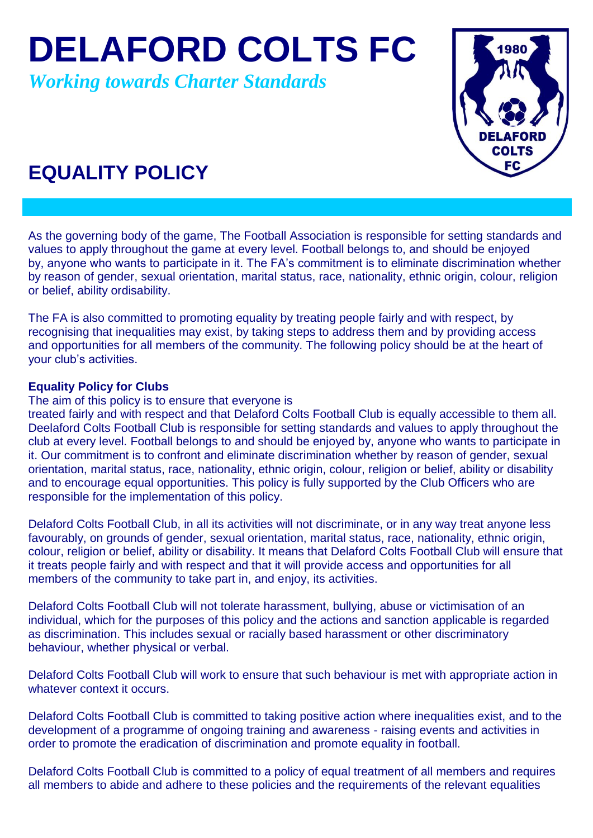**DELAFORD COLTS FC**

*Working towards Charter Standards*



## **EQUALITY POLICY**

As the governing body of the game, The Football Association is responsible for setting standards and values to apply throughout the game at every level. Football belongs to, and should be enjoyed by, anyone who wants to participate in it. The FA's commitment is to eliminate discrimination whether by reason of gender, sexual orientation, marital status, race, nationality, ethnic origin, colour, religion or belief, ability ordisability.

The FA is also committed to promoting equality by treating people fairly and with respect, by recognising that inequalities may exist, by taking steps to address them and by providing access and opportunities for all members of the community. The following policy should be at the heart of your club's activities.

## **Equality Policy for Clubs**

The aim of this policy is to ensure that everyone is

treated fairly and with respect and that Delaford Colts Football Club is equally accessible to them all. Deelaford Colts Football Club is responsible for setting standards and values to apply throughout the club at every level. Football belongs to and should be enjoyed by, anyone who wants to participate in it. Our commitment is to confront and eliminate discrimination whether by reason of gender, sexual orientation, marital status, race, nationality, ethnic origin, colour, religion or belief, ability or disability and to encourage equal opportunities. This policy is fully supported by the Club Officers who are responsible for the implementation of this policy.

Delaford Colts Football Club, in all its activities will not discriminate, or in any way treat anyone less favourably, on grounds of gender, sexual orientation, marital status, race, nationality, ethnic origin, colour, religion or belief, ability or disability. It means that Delaford Colts Football Club will ensure that it treats people fairly and with respect and that it will provide access and opportunities for all members of the community to take part in, and enjoy, its activities.

Delaford Colts Football Club will not tolerate harassment, bullying, abuse or victimisation of an individual, which for the purposes of this policy and the actions and sanction applicable is regarded as discrimination. This includes sexual or racially based harassment or other discriminatory behaviour, whether physical or verbal.

Delaford Colts Football Club will work to ensure that such behaviour is met with appropriate action in whatever context it occurs.

Delaford Colts Football Club is committed to taking positive action where inequalities exist, and to the development of a programme of ongoing training and awareness - raising events and activities in order to promote the eradication of discrimination and promote equality in football.

Delaford Colts Football Club is committed to a policy of equal treatment of all members and requires all members to abide and adhere to these policies and the requirements of the relevant equalities